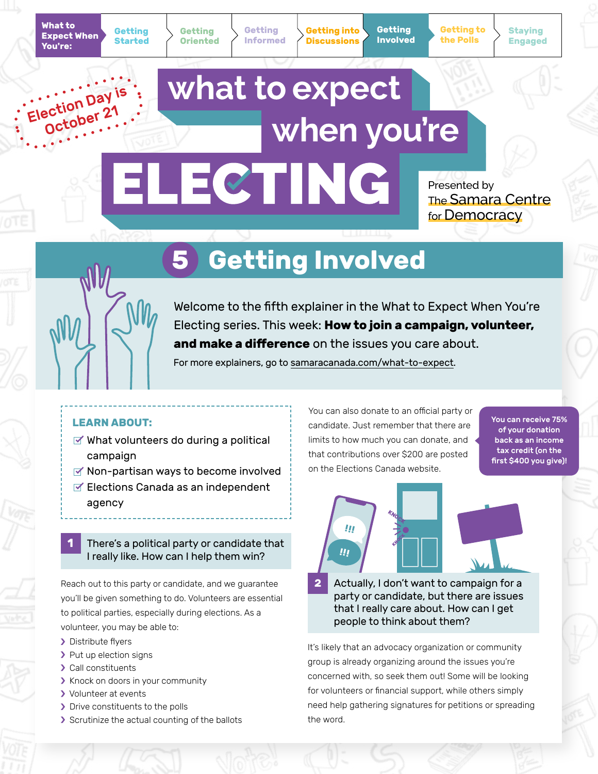**Getting Started**

**Getting Informed** **Getting into Discussions**

**Getting Involved** **Staying Engaged**

## what to expect Election Day October 21 when you're ELECTING

Presented by The Samara Centre for Democracy

# **5 Getting Involved**



Welcome to the fifth explainer in the What to Expect When You're Electing series. This week: **How to join a campaign, volunteer, and make a difference** on the issues you care about.

For more explainers, go to [samaracanada.com/what-to-expect](https://www.samaracanada.com/samara-in-the-classroom/what-to-expect-when-you).

### **LEARN ABOUT:**

- $\leq$  What volunteers do during a political campaign
- $\leq$  Non-partisan ways to become involved
- $\leq$  Elections Canada as an independent agency

### **1** There's a political party or candidate that I really like. How can I help them win?

Reach out to this party or candidate, and we guarantee you'll be given something to do. Volunteers are essential to political parties, especially during elections. As a volunteer, you may be able to:

- > Distribute flyers
- > Put up election signs
- > Call constituents
- > Knock on doors in your community
- > Volunteer at events
- > Drive constituents to the polls
- Scrutinize the actual counting of the ballots

You can also donate to an official party or candidate. Just remember that there are limits to how much you can donate, and that contributions over \$200 are posted on the Elections Canada website.

You can receive 75% of your donation back as an income tax credit (on the first \$400 you give)!



**2** Actually, I don't want to campaign for a party or candidate, but there are issues that I really care about. How can I get people to think about them?

It's likely that an advocacy organization or community group is already organizing around the issues you're concerned with, so seek them out! Some will be looking for volunteers or financial support, while others simply need help gathering signatures for petitions or spreading the word.